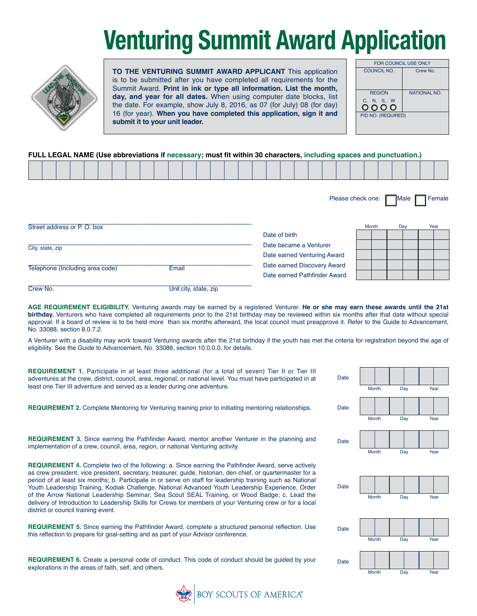## **Venturing Summit Award Application**



**TO THE VENTURING SUMMIT AWARD APPLICANT** This application is to be submitted after you have completed all requirements for the Summit Award. **Print in ink or type all information. List the month, day, and year for all dates.** When using computer date blocks, list the date. For example, show July 8, 2016, as 07 (for July) 08 (for day) 16 (for year). **When you have completed this application, sign it and submit it to your unit leader.**

| <b>FOR COUNCIL USE ONLY</b> |                     |  |  |  |  |  |  |  |  |  |  |
|-----------------------------|---------------------|--|--|--|--|--|--|--|--|--|--|
| <b>COUNCIL NO.</b>          | Crew No.            |  |  |  |  |  |  |  |  |  |  |
| <b>REGION</b>               | <b>NATIONAL NO.</b> |  |  |  |  |  |  |  |  |  |  |
| C, N, S, W<br>0000          |                     |  |  |  |  |  |  |  |  |  |  |
| PID NO. (REQUIRED)          |                     |  |  |  |  |  |  |  |  |  |  |

## **FULL LEGAL NAME (Use abbreviations if necessary; must fit within 30 characters, including spaces and punctuation.)**

|                                 |  |  |  |  |       |                       |  |  |               |                                                             |  | Please check one: Male |       |     |  | Female |
|---------------------------------|--|--|--|--|-------|-----------------------|--|--|---------------|-------------------------------------------------------------|--|------------------------|-------|-----|--|--------|
| Street address or P.O. box      |  |  |  |  |       |                       |  |  | Date of birth |                                                             |  |                        | Month | Day |  | Year   |
| City, state, zip                |  |  |  |  |       |                       |  |  |               | Date became a Venturer<br>Date earned Venturing Award       |  |                        |       |     |  |        |
| Telephone (Including area code) |  |  |  |  | Email |                       |  |  |               | Date earned Discovery Award<br>Date earned Pathfinder Award |  |                        |       |     |  |        |
| Crew No.                        |  |  |  |  |       | Unit city, state, zip |  |  |               |                                                             |  |                        |       |     |  |        |

**AGE REQUIREMENT ELIGIBILITY.** Venturing awards may be earned by a registered Venturer. **He or she may earn these awards until the 21st birthday.** Venturers who have completed all requirements prior to the 21st birthday may be reviewed within six months after that date without special approval. If a board of review is to be held more than six months afterward, the local council must preapprove it. Refer to the Guide to Advancement, No. 33088, section 8.0.7.2.

A Venturer with a disability may work toward Venturing awards after the 21st birthday if the youth has met the criteria for registration beyond the age of eligibility. See the Guide to Advancement, No. 33088, section 10.0.0.0, for details.

**REQUIREMENT 1.** Participate in at least three additional (for a total of seven) Tier II or Tier III adventures at the crew, district, council, area, regional, or national level. You must have participated in at least one Tier III adventure and served as a leader during one adventure.

**REQUIREMENT 2.** Complete Mentoring for Venturing training prior to initiating mentoring relationships. Date

**REQUIREMENT 3.** Since earning the Pathfinder Award, mentor another Venturer in the planning and  $_{Da}$ implementation of a crew, council, area, region, or national Venturing activity.

**REQUIREMENT 4.** Complete two of the following: a. Since earning the Pathfinder Award, serve actively as crew president, vice president, secretary, treasurer, guide, historian, den chief, or quartermaster for a period of at least six months; b. Participate in or serve on staff for leadership training such as National Youth Leadership Training, Kodiak Challenge, National Advanced Youth Leadership Experience, Order of the Arrow National Leadership Seminar, Sea Scout SEAL Training, or Wood Badge; c. Lead the delivery of Introduction to Leadership Skills for Crews for members of your Venturing crew or for a local district or council training event.

**REQUIREMENT 5.** Since earning the Pathfinder Award, complete a structured personal reflection. Use  $_{Da}$ this reflection to prepare for goal-setting and as part of your Advisor conference.

**REQUIREMENT 6.** Create a personal code of conduct. This code of conduct should be guided by your pa explorations in the areas of faith, self, and others.



| te |              |     |      |
|----|--------------|-----|------|
|    | Month        | Day | Year |
| te |              |     |      |
|    | <b>Month</b> | Day | Year |
| te |              |     |      |
|    | Month        | Day | Year |
|    |              |     |      |
| te |              |     |      |
|    | Month        | Day | Year |
|    |              |     |      |
| te |              |     |      |
|    | Month        | Day | Year |
| te |              |     |      |
|    | Month        | Day | Year |

Da

Dat